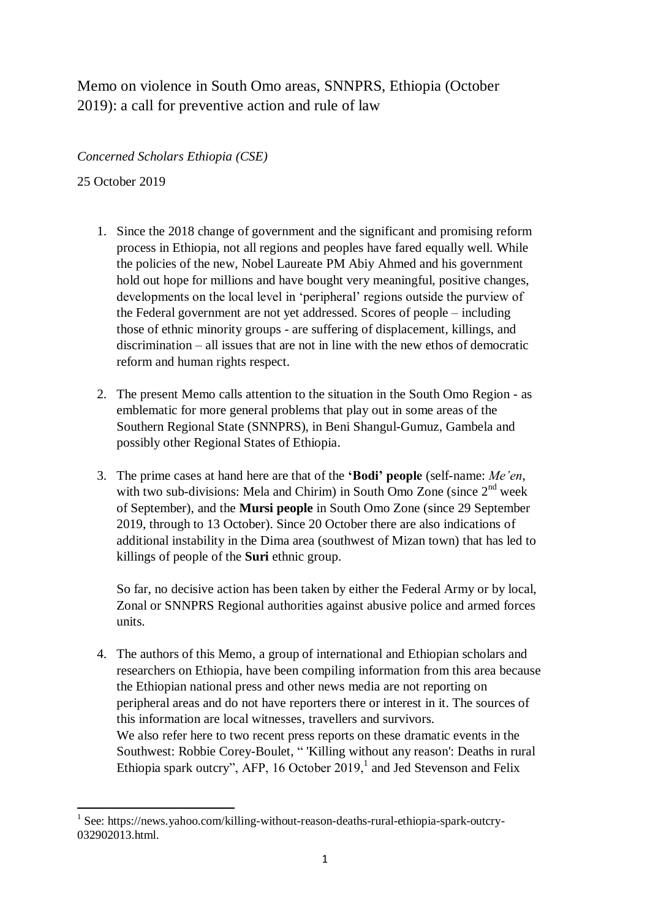## Memo on violence in South Omo areas, SNNPRS, Ethiopia (October 2019): a call for preventive action and rule of law

*Concerned Scholars Ethiopia (CSE)*

25 October 2019

- 1. Since the 2018 change of government and the significant and promising reform process in Ethiopia, not all regions and peoples have fared equally well. While the policies of the new, Nobel Laureate PM Abiy Ahmed and his government hold out hope for millions and have bought very meaningful, positive changes, developments on the local level in 'peripheral' regions outside the purview of the Federal government are not yet addressed. Scores of people – including those of ethnic minority groups - are suffering of displacement, killings, and discrimination – all issues that are not in line with the new ethos of democratic reform and human rights respect.
- 2. The present Memo calls attention to the situation in the South Omo Region as emblematic for more general problems that play out in some areas of the Southern Regional State (SNNPRS), in Beni Shangul-Gumuz, Gambela and possibly other Regional States of Ethiopia.
- 3. The prime cases at hand here are that of the **'Bodi' people** (self-name: *Me'en*, with two sub-divisions: Mela and Chirim) in South Omo Zone (since  $2<sup>nd</sup>$  week of September), and the **Mursi people** in South Omo Zone (since 29 September 2019, through to 13 October). Since 20 October there are also indications of additional instability in the Dima area (southwest of Mizan town) that has led to killings of people of the **Suri** ethnic group.

So far, no decisive action has been taken by either the Federal Army or by local, Zonal or SNNPRS Regional authorities against abusive police and armed forces units.

4. The authors of this Memo, a group of international and Ethiopian scholars and researchers on Ethiopia, have been compiling information from this area because the Ethiopian national press and other news media are not reporting on peripheral areas and do not have reporters there or interest in it. The sources of this information are local witnesses, travellers and survivors. We also refer here to two recent press reports on these dramatic events in the Southwest: Robbie Corey-Boulet, " 'Killing without any reason': Deaths in rural Ethiopia spark outcry", AFP, 16 October  $2019$ , and Jed Stevenson and Felix

**<sup>.</sup>** <sup>1</sup> See: https://news.yahoo.com/killing-without-reason-deaths-rural-ethiopia-spark-outcry-032902013.html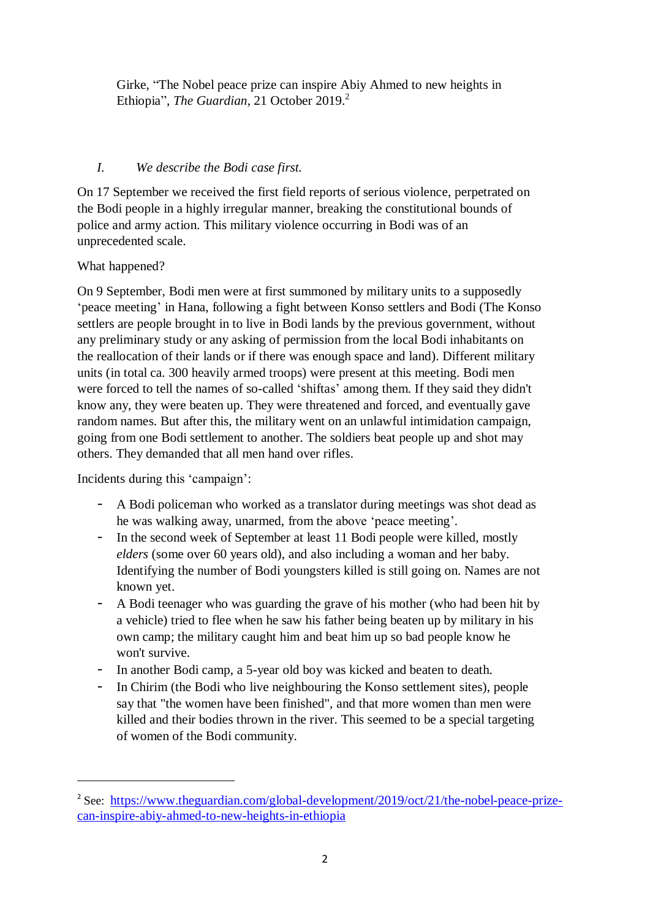Girke, "The Nobel peace prize can inspire Abiy Ahmed to new heights in Ethiopia", *The Guardian*, 21 October 2019. 2

## *I. We describe the Bodi case first.*

On 17 September we received the first field reports of serious violence, perpetrated on the Bodi people in a highly irregular manner, breaking the constitutional bounds of police and army action. This military violence occurring in Bodi was of an unprecedented scale.

What happened?

On 9 September, Bodi men were at first summoned by military units to a supposedly 'peace meeting' in Hana, following a fight between Konso settlers and Bodi (The Konso settlers are people brought in to live in Bodi lands by the previous government, without any preliminary study or any asking of permission from the local Bodi inhabitants on the reallocation of their lands or if there was enough space and land). Different military units (in total ca. 300 heavily armed troops) were present at this meeting. Bodi men were forced to tell the names of so-called 'shiftas' among them. If they said they didn't know any, they were beaten up. They were threatened and forced, and eventually gave random names. But after this, the military went on an unlawful intimidation campaign, going from one Bodi settlement to another. The soldiers beat people up and shot may others. They demanded that all men hand over rifles.

Incidents during this 'campaign':

**.** 

- A Bodi policeman who worked as a translator during meetings was shot dead as he was walking away, unarmed, from the above 'peace meeting'.
- In the second week of September at least 11 Bodi people were killed, mostly *elders* (some over 60 years old), and also including a woman and her baby. Identifying the number of Bodi youngsters killed is still going on. Names are not known yet.
- A Bodi teenager who was guarding the grave of his mother (who had been hit by a vehicle) tried to flee when he saw his father being beaten up by military in his own camp; the military caught him and beat him up so bad people know he won't survive.
- In another Bodi camp, a 5-year old boy was kicked and beaten to death.
- In Chirim (the Bodi who live neighbouring the Konso settlement sites), people say that "the women have been finished", and that more women than men were killed and their bodies thrown in the river. This seemed to be a special targeting of women of the Bodi community.

<sup>&</sup>lt;sup>2</sup> See: [https://www.theguardian.com/global-development/2019/oct/21/the-nobel-peace-prize](https://www.theguardian.com/global-development/2019/oct/21/the-nobel-peace-prize-can-inspire-abiy-ahmed-to-new-heights-in-ethiopia)[can-inspire-abiy-ahmed-to-new-heights-in-ethiopia](https://www.theguardian.com/global-development/2019/oct/21/the-nobel-peace-prize-can-inspire-abiy-ahmed-to-new-heights-in-ethiopia)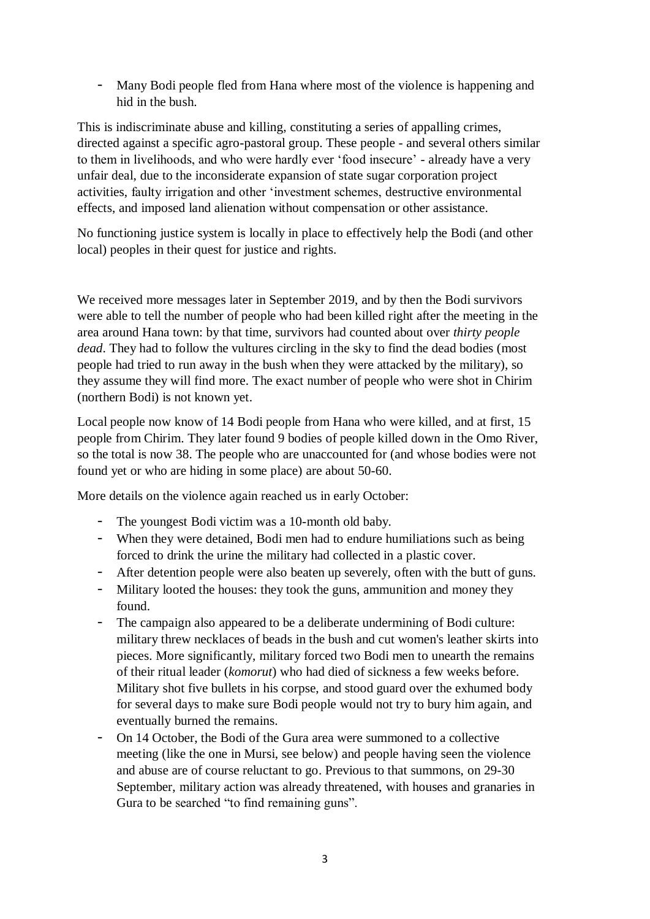- Many Bodi people fled from Hana where most of the violence is happening and hid in the bush.

This is indiscriminate abuse and killing, constituting a series of appalling crimes, directed against a specific agro-pastoral group. These people - and several others similar to them in livelihoods, and who were hardly ever 'food insecure' - already have a very unfair deal, due to the inconsiderate expansion of state sugar corporation project activities, faulty irrigation and other 'investment schemes, destructive environmental effects, and imposed land alienation without compensation or other assistance.

No functioning justice system is locally in place to effectively help the Bodi (and other local) peoples in their quest for justice and rights.

We received more messages later in September 2019, and by then the Bodi survivors were able to tell the number of people who had been killed right after the meeting in the area around Hana town: by that time, survivors had counted about over *thirty people dead*. They had to follow the vultures circling in the sky to find the dead bodies (most people had tried to run away in the bush when they were attacked by the military), so they assume they will find more. The exact number of people who were shot in Chirim (northern Bodi) is not known yet.

Local people now know of 14 Bodi people from Hana who were killed, and at first, 15 people from Chirim. They later found 9 bodies of people killed down in the Omo River, so the total is now 38. The people who are unaccounted for (and whose bodies were not found yet or who are hiding in some place) are about 50-60.

More details on the violence again reached us in early October:

- The youngest Bodi victim was a 10-month old baby.
- When they were detained, Bodi men had to endure humiliations such as being forced to drink the urine the military had collected in a plastic cover.
- After detention people were also beaten up severely, often with the butt of guns.
- Military looted the houses: they took the guns, ammunition and money they found.
- The campaign also appeared to be a deliberate undermining of Bodi culture: military threw necklaces of beads in the bush and cut women's leather skirts into pieces. More significantly, military forced two Bodi men to unearth the remains of their ritual leader (*komorut*) who had died of sickness a few weeks before. Military shot five bullets in his corpse, and stood guard over the exhumed body for several days to make sure Bodi people would not try to bury him again, and eventually burned the remains.
- On 14 October, the Bodi of the Gura area were summoned to a collective meeting (like the one in Mursi, see below) and people having seen the violence and abuse are of course reluctant to go. Previous to that summons, on 29-30 September, military action was already threatened, with houses and granaries in Gura to be searched "to find remaining guns".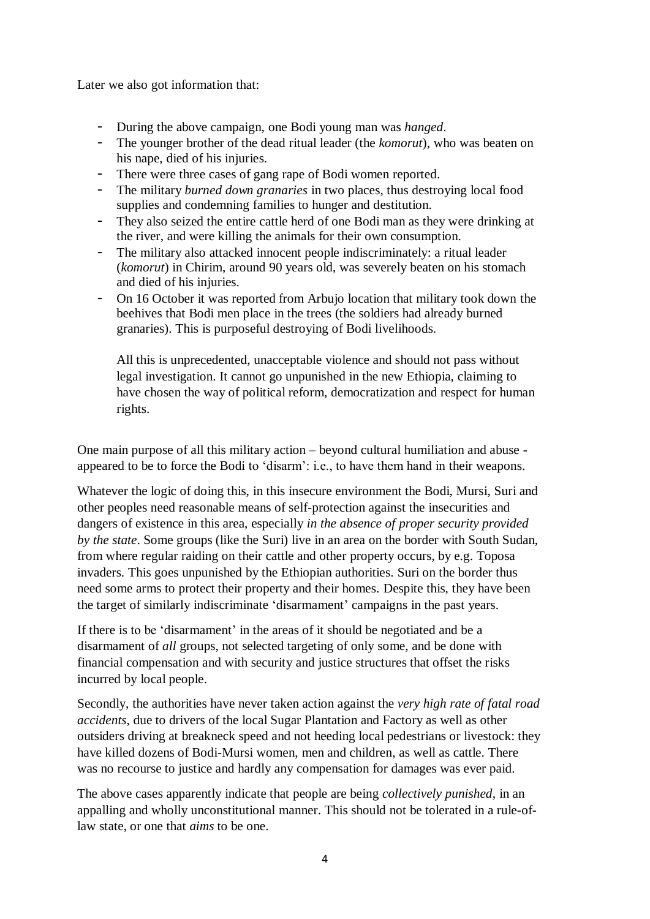Later we also got information that:

- During the above campaign, one Bodi young man was *hanged*.
- The younger brother of the dead ritual leader (the *komorut*), who was beaten on his nape, died of his injuries.
- There were three cases of gang rape of Bodi women reported.
- The military *burned down granaries* in two places, thus destroying local food supplies and condemning families to hunger and destitution.
- They also seized the entire cattle herd of one Bodi man as they were drinking at the river, and were killing the animals for their own consumption.
- The military also attacked innocent people indiscriminately: a ritual leader (*komorut*) in Chirim, around 90 years old, was severely beaten on his stomach and died of his injuries.
- On 16 October it was reported from Arbujo location that military took down the beehives that Bodi men place in the trees (the soldiers had already burned granaries). This is purposeful destroying of Bodi livelihoods.

All this is unprecedented, unacceptable violence and should not pass without legal investigation. It cannot go unpunished in the new Ethiopia, claiming to have chosen the way of political reform, democratization and respect for human rights.

One main purpose of all this military action – beyond cultural humiliation and abuse appeared to be to force the Bodi to 'disarm': i.e., to have them hand in their weapons.

Whatever the logic of doing this, in this insecure environment the Bodi, Mursi, Suri and other peoples need reasonable means of self-protection against the insecurities and dangers of existence in this area, especially *in the absence of proper security provided by the state*. Some groups (like the Suri) live in an area on the border with South Sudan, from where regular raiding on their cattle and other property occurs, by e.g. Toposa invaders. This goes unpunished by the Ethiopian authorities. Suri on the border thus need some arms to protect their property and their homes. Despite this, they have been the target of similarly indiscriminate 'disarmament' campaigns in the past years.

If there is to be 'disarmament' in the areas of it should be negotiated and be a disarmament of *all* groups, not selected targeting of only some, and be done with financial compensation and with security and justice structures that offset the risks incurred by local people.

Secondly, the authorities have never taken action against the *very high rate of fatal road accidents*, due to drivers of the local Sugar Plantation and Factory as well as other outsiders driving at breakneck speed and not heeding local pedestrians or livestock: they have killed dozens of Bodi-Mursi women, men and children, as well as cattle. There was no recourse to justice and hardly any compensation for damages was ever paid.

The above cases apparently indicate that people are being *collectively punished*, in an appalling and wholly unconstitutional manner. This should not be tolerated in a rule-oflaw state, or one that *aims* to be one.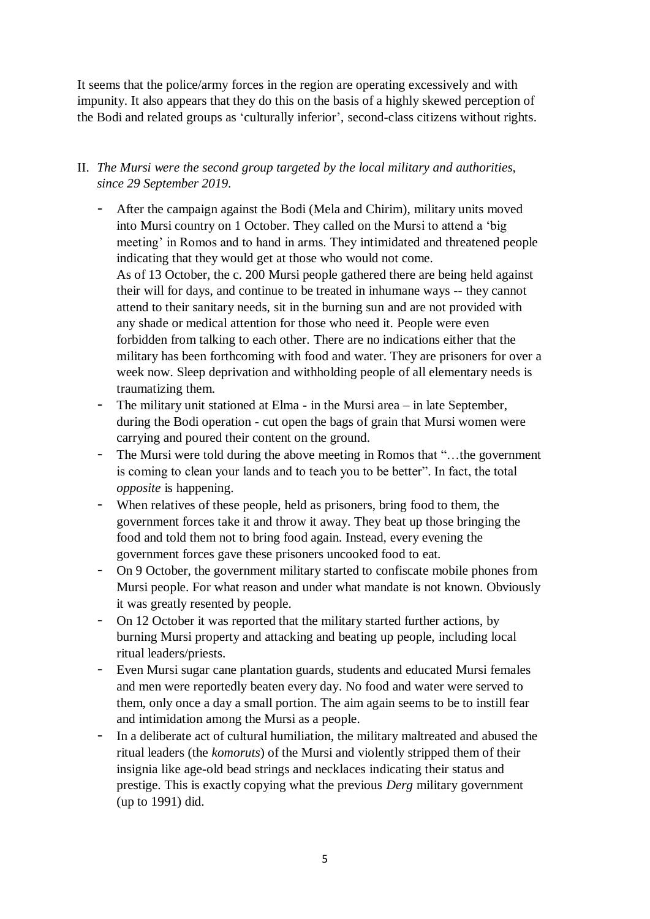It seems that the police/army forces in the region are operating excessively and with impunity. It also appears that they do this on the basis of a highly skewed perception of the Bodi and related groups as 'culturally inferior', second-class citizens without rights.

## II. *The Mursi were the second group targeted by the local military and authorities, since 29 September 2019.*

- After the campaign against the Bodi (Mela and Chirim), military units moved into Mursi country on 1 October. They called on the Mursi to attend a 'big meeting' in Romos and to hand in arms. They intimidated and threatened people indicating that they would get at those who would not come. As of 13 October, the c. 200 Mursi people gathered there are being held against their will for days, and continue to be treated in inhumane ways -- they cannot attend to their sanitary needs, sit in the burning sun and are not provided with any shade or medical attention for those who need it. People were even forbidden from talking to each other. There are no indications either that the military has been forthcoming with food and water. They are prisoners for over a week now. Sleep deprivation and withholding people of all elementary needs is traumatizing them.
- The military unit stationed at Elma in the Mursi area in late September, during the Bodi operation - cut open the bags of grain that Mursi women were carrying and poured their content on the ground.
- The Mursi were told during the above meeting in Romos that "…the government is coming to clean your lands and to teach you to be better". In fact, the total *opposite* is happening.
- When relatives of these people, held as prisoners, bring food to them, the government forces take it and throw it away. They beat up those bringing the food and told them not to bring food again. Instead, every evening the government forces gave these prisoners uncooked food to eat.
- On 9 October, the government military started to confiscate mobile phones from Mursi people. For what reason and under what mandate is not known. Obviously it was greatly resented by people.
- On 12 October it was reported that the military started further actions, by burning Mursi property and attacking and beating up people, including local ritual leaders/priests.
- Even Mursi sugar cane plantation guards, students and educated Mursi females and men were reportedly beaten every day. No food and water were served to them, only once a day a small portion. The aim again seems to be to instill fear and intimidation among the Mursi as a people.
- In a deliberate act of cultural humiliation, the military maltreated and abused the ritual leaders (the *komoruts*) of the Mursi and violently stripped them of their insignia like age-old bead strings and necklaces indicating their status and prestige. This is exactly copying what the previous *Derg* military government (up to 1991) did.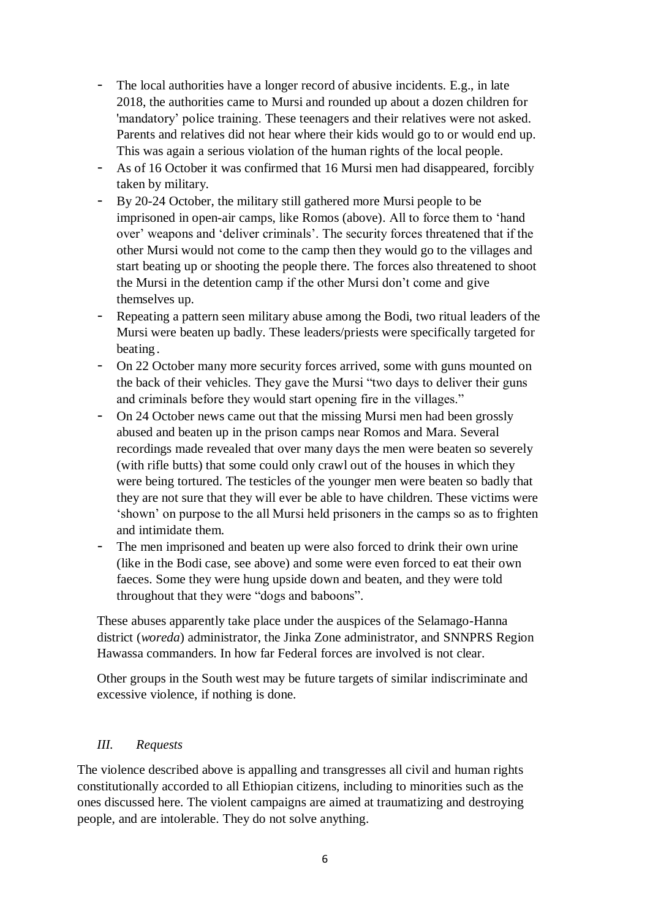- The local authorities have a longer record of abusive incidents. E.g., in late 2018, the authorities came to Mursi and rounded up about a dozen children for 'mandatory' police training. These teenagers and their relatives were not asked. Parents and relatives did not hear where their kids would go to or would end up. This was again a serious violation of the human rights of the local people.
- As of 16 October it was confirmed that 16 Mursi men had disappeared, forcibly taken by military.
- By 20-24 October, the military still gathered more Mursi people to be imprisoned in open-air camps, like Romos (above). All to force them to 'hand over' weapons and 'deliver criminals'. The security forces threatened that if the other Mursi would not come to the camp then they would go to the villages and start beating up or shooting the people there. The forces also threatened to shoot the Mursi in the detention camp if the other Mursi don't come and give themselves up.
- Repeating a pattern seen military abuse among the Bodi, two ritual leaders of the Mursi were beaten up badly. These leaders/priests were specifically targeted for beating.
- On 22 October many more security forces arrived, some with guns mounted on the back of their vehicles. They gave the Mursi "two days to deliver their guns and criminals before they would start opening fire in the villages."
- On 24 October news came out that the missing Mursi men had been grossly abused and beaten up in the prison camps near Romos and Mara. Several recordings made revealed that over many days the men were beaten so severely (with rifle butts) that some could only crawl out of the houses in which they were being tortured. The testicles of the younger men were beaten so badly that they are not sure that they will ever be able to have children. These victims were 'shown' on purpose to the all Mursi held prisoners in the camps so as to frighten and intimidate them.
- The men imprisoned and beaten up were also forced to drink their own urine (like in the Bodi case, see above) and some were even forced to eat their own faeces. Some they were hung upside down and beaten, and they were told throughout that they were "dogs and baboons".

These abuses apparently take place under the auspices of the Selamago-Hanna district (*woreda*) administrator, the Jinka Zone administrator, and SNNPRS Region Hawassa commanders. In how far Federal forces are involved is not clear.

Other groups in the South west may be future targets of similar indiscriminate and excessive violence, if nothing is done.

## *III. Requests*

The violence described above is appalling and transgresses all civil and human rights constitutionally accorded to all Ethiopian citizens, including to minorities such as the ones discussed here. The violent campaigns are aimed at traumatizing and destroying people, and are intolerable. They do not solve anything.